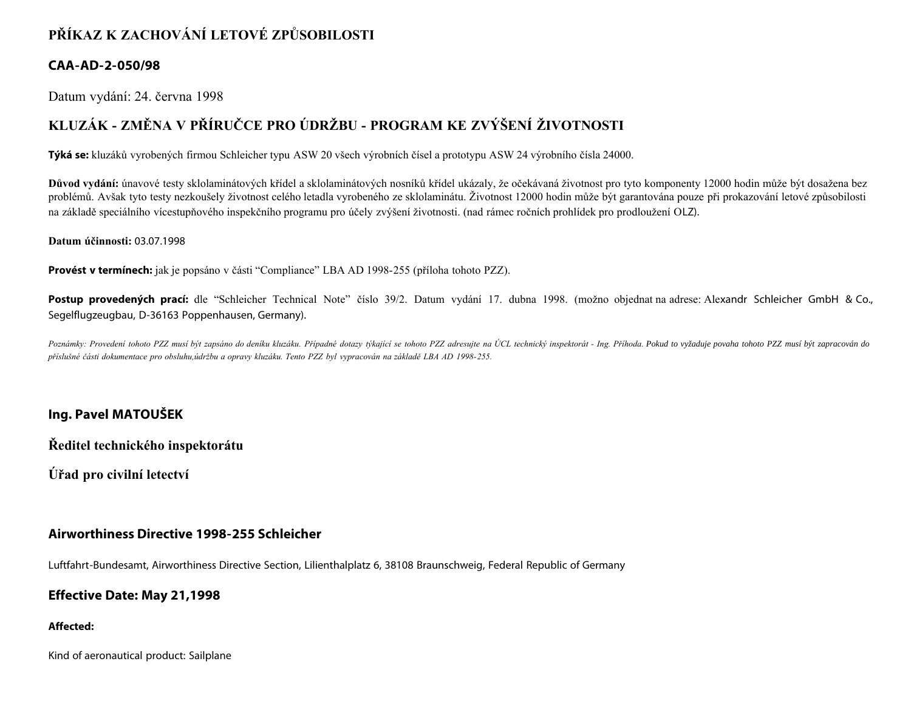# **PŘÍKAZ K ZACHOVÁNÍ LETOVÉ ZPŮSOBILOSTI**

## **CAA-AD-2-050/98**

Datum vydání: 24. června 1998

# **KLUZÁK - ZMĚNA V PŘÍRUČCE PRO ÚDRŽBU - PROGRAM KE ZVÝŠENÍ ŽIVOTNOSTI**

**Týká se:** kluzáků vyrobených firmou Schleicher typu ASW 20 všech výrobních čísel a prototypu ASW 24 výrobního čísla 24000.

**Důvod vydání:** únavové testy sklolaminátových křídel a sklolaminátových nosníků křídel ukázaly, že očekávaná životnost pro tyto komponenty 12000 hodin může být dosažena bez problémů. Avšak tyto testy nezkoušely životnost celého letadla vyrobeného ze sklolaminátu. Životnost 12000 hodin může být garantována pouze při prokazování letové způsobilosti na základě speciálního vícestupňového inspekčního programu pro účely zvýšení životnosti. (nad rámec ročních prohlídek pro prodloužení OLZ).

#### **Datum účinnosti:** 03.07.1998

**Provést v termínech:** jak je popsáno v části "Compliance" LBA AD 1998-255 (příloha tohoto PZZ).

Postup provedených prací: dle "Schleicher Technical Note" číslo 39/2. Datum vydání 17. dubna 1998. (možno objednat na adrese: Alexandr Schleicher GmbH & Co., Segelflugzeugbau, D-36163 Poppenhausen, Germany).

Poznámky: Provedení tohoto PZZ musí být zapsáno do deníku kluzáku. Případné dotazy týkající se tohoto PZZ adresujte na ÚCL technický inspektorát - Ing. Příhoda. Pokud to vyžaduje povaha tohoto PZZ musí být zapracován do *příslušné části dokumentace pro obsluhu,údržbu a opravy kluzáku. Tento PZZ byl vypracován na základě LBA AD 1998-255.*

## **Ing. Pavel MATOUŠEK**

**Ředitel technického inspektorátu**

**Úřad pro civilní letectví**

### **Airworthiness Directive 1998-255 Schleicher**

Luftfahrt-Bundesamt, Airworthiness Directive Section, Lilienthalplatz 6, 38108 Braunschweig, Federal Republic of Germany

### **Effective Date: May 21,1998**

#### **Affected:**

Kind of aeronautical product: Sailplane